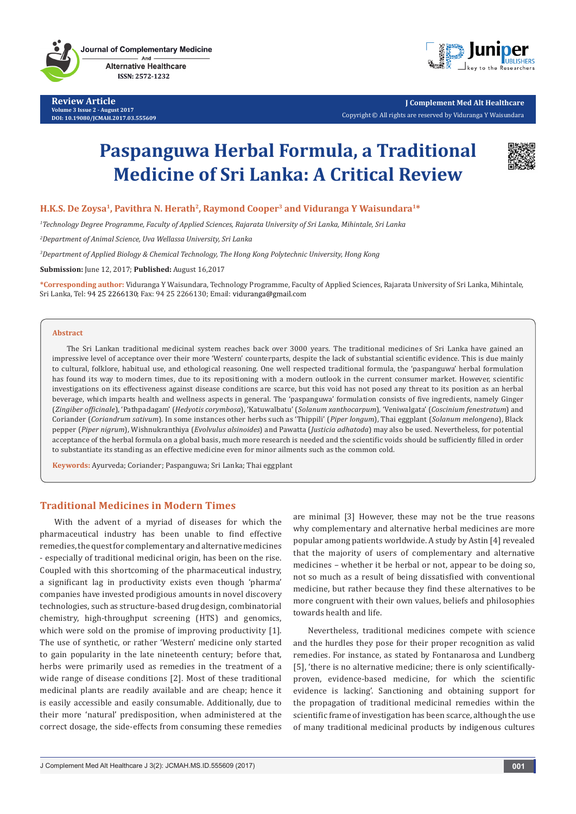

**Review Article Volume 3 Issue 2 - August 2017 DOI: [10.19080/JCMAH.2017.03.555609](http://dx.doi.org/10.19080/JCMAH.2017.03.555609
)**



**J Complement Med Alt Healthcare** Copyright © All rights are reserved by Viduranga Y Waisundara

# **Paspanguwa Herbal Formula, a Traditional Medicine of Sri Lanka: A Critical Review**



## **H.K.S. De Zoysa1, Pavithra N. Herath2, Raymond Cooper3 and Viduranga Y Waisundara1\***

*1 Technology Degree Programme, Faculty of Applied Sciences, Rajarata University of Sri Lanka, Mihintale, Sri Lanka*

*2 Department of Animal Science, Uva Wellassa University, Sri Lanka*

*3 Department of Applied Biology & Chemical Technology, The Hong Kong Polytechnic University, Hong Kong*

**Submission:** June 12, 2017; **Published:** August 16,2017

**\*Corresponding author:** Viduranga Y Waisundara, Technology Programme, Faculty of Applied Sciences, Rajarata University of Sri Lanka, Mihintale, Sri Lanka, Tel: 94 25 2266130; Fax: 94 25 2266130; Email: viduranga@gmail.com

#### **Abstract**

The Sri Lankan traditional medicinal system reaches back over 3000 years. The traditional medicines of Sri Lanka have gained an impressive level of acceptance over their more 'Western' counterparts, despite the lack of substantial scientific evidence. This is due mainly to cultural, folklore, habitual use, and ethological reasoning. One well respected traditional formula, the 'paspanguwa' herbal formulation has found its way to modern times, due to its repositioning with a modern outlook in the current consumer market. However, scientific investigations on its effectiveness against disease conditions are scarce, but this void has not posed any threat to its position as an herbal beverage, which imparts health and wellness aspects in general. The 'paspanguwa' formulation consists of five ingredients, namely Ginger (*Zingiber officinale*), 'Pathpadagam' (*Hedyotis corymbosa*), 'Katuwalbatu' (*Solanum xanthocarpum*), 'Veniwalgata' (*Coscinium fenestratum*) and Coriander (*Coriandrum sativum*). In some instances other herbs such as 'Thippili' (*Piper longum*), Thai eggplant (*Solanum melongena*), Black pepper (*Piper nigrum*), Wishnukranthiya (*Evolvulus alsinoides*) and Pawatta (*Justicia adhatoda*) may also be used. Nevertheless, for potential acceptance of the herbal formula on a global basis, much more research is needed and the scientific voids should be sufficiently filled in order to substantiate its standing as an effective medicine even for minor ailments such as the common cold.

**Keywords:** Ayurveda; Coriander; Paspanguwa; Sri Lanka; Thai eggplant

## **Traditional Medicines in Modern Times**

With the advent of a myriad of diseases for which the pharmaceutical industry has been unable to find effective remedies, the quest for complementary and alternative medicines - especially of traditional medicinal origin, has been on the rise. Coupled with this shortcoming of the pharmaceutical industry, a significant lag in productivity exists even though 'pharma' companies have invested prodigious amounts in novel discovery technologies, such as structure-based drug design, combinatorial chemistry, high-throughput screening (HTS) and genomics, which were sold on the promise of improving productivity [1]. The use of synthetic, or rather 'Western' medicine only started to gain popularity in the late nineteenth century; before that, herbs were primarily used as remedies in the treatment of a wide range of disease conditions [2]. Most of these traditional medicinal plants are readily available and are cheap; hence it is easily accessible and easily consumable. Additionally, due to their more 'natural' predisposition, when administered at the correct dosage, the side-effects from consuming these remedies

are minimal [3] However, these may not be the true reasons why complementary and alternative herbal medicines are more popular among patients worldwide. A study by Astin [4] revealed that the majority of users of complementary and alternative medicines – whether it be herbal or not, appear to be doing so, not so much as a result of being dissatisfied with conventional medicine, but rather because they find these alternatives to be more congruent with their own values, beliefs and philosophies towards health and life.

Nevertheless, traditional medicines compete with science and the hurdles they pose for their proper recognition as valid remedies. For instance, as stated by Fontanarosa and Lundberg [5], 'there is no alternative medicine; there is only scientificallyproven, evidence-based medicine, for which the scientific evidence is lacking'. Sanctioning and obtaining support for the propagation of traditional medicinal remedies within the scientific frame of investigation has been scarce, although the use of many traditional medicinal products by indigenous cultures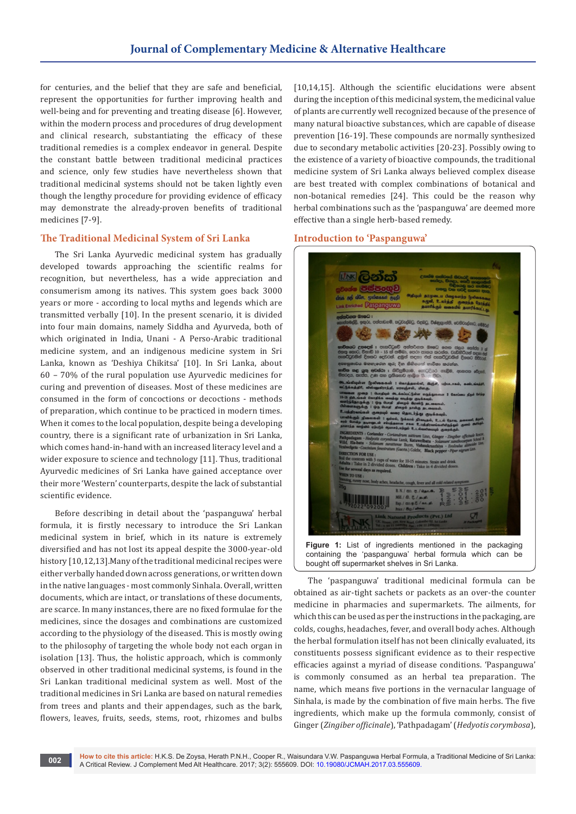for centuries, and the belief that they are safe and beneficial, represent the opportunities for further improving health and well-being and for preventing and treating disease [6]. However, within the modern process and procedures of drug development and clinical research, substantiating the efficacy of these traditional remedies is a complex endeavor in general. Despite the constant battle between traditional medicinal practices and science, only few studies have nevertheless shown that traditional medicinal systems should not be taken lightly even though the lengthy procedure for providing evidence of efficacy may demonstrate the already-proven benefits of traditional medicines [7-9].

## **The Traditional Medicinal System of Sri Lanka**

The Sri Lanka Ayurvedic medicinal system has gradually developed towards approaching the scientific realms for recognition, but nevertheless, has a wide appreciation and consumerism among its natives. This system goes back 3000 years or more - according to local myths and legends which are transmitted verbally [10]. In the present scenario, it is divided into four main domains, namely Siddha and Ayurveda, both of which originated in India, Unani - A Perso-Arabic traditional medicine system, and an indigenous medicine system in Sri Lanka, known as 'Deshiya Chikitsa' [10]. In Sri Lanka, about 60 – 70% of the rural population use Ayurvedic medicines for curing and prevention of diseases. Most of these medicines are consumed in the form of concoctions or decoctions - methods of preparation, which continue to be practiced in modern times. When it comes to the local population, despite being a developing country, there is a significant rate of urbanization in Sri Lanka, which comes hand-in-hand with an increased literacy level and a wider exposure to science and technology [11]. Thus, traditional Ayurvedic medicines of Sri Lanka have gained acceptance over their more 'Western' counterparts, despite the lack of substantial scientific evidence.

Before describing in detail about the 'paspanguwa' herbal formula, it is firstly necessary to introduce the Sri Lankan medicinal system in brief, which in its nature is extremely diversified and has not lost its appeal despite the 3000-year-old history [10,12,13].Many of the traditional medicinal recipes were either verbally handed down across generations, or written down in the native languages - most commonly Sinhala. Overall, written documents, which are intact, or translations of these documents, are scarce. In many instances, there are no fixed formulae for the medicines, since the dosages and combinations are customized according to the physiology of the diseased. This is mostly owing to the philosophy of targeting the whole body not each organ in isolation [13]. Thus, the holistic approach, which is commonly observed in other traditional medicinal systems, is found in the Sri Lankan traditional medicinal system as well. Most of the traditional medicines in Sri Lanka are based on natural remedies from trees and plants and their appendages, such as the bark, flowers, leaves, fruits, seeds, stems, root, rhizomes and bulbs [10,14,15]. Although the scientific elucidations were absent during the inception of this medicinal system, the medicinal value of plants are currently well recognized because of the presence of many natural bioactive substances, which are capable of disease prevention [16-19]. These compounds are normally synthesized due to secondary metabolic activities [20-23]. Possibly owing to the existence of a variety of bioactive compounds, the traditional medicine system of Sri Lanka always believed complex disease are best treated with complex combinations of botanical and non-botanical remedies [24]. This could be the reason why herbal combinations such as the 'paspanguwa' are deemed more effective than a single herb-based remedy.

#### **Introduction to 'Paspanguwa'**



The 'paspanguwa' traditional medicinal formula can be obtained as air-tight sachets or packets as an over-the counter medicine in pharmacies and supermarkets. The ailments, for which this can be used as per the instructions in the packaging, are colds, coughs, headaches, fever, and overall body aches. Although the herbal formulation itself has not been clinically evaluated, its constituents possess significant evidence as to their respective efficacies against a myriad of disease conditions. 'Paspanguwa' is commonly consumed as an herbal tea preparation. The name, which means five portions in the vernacular language of Sinhala, is made by the combination of five main herbs. The five ingredients, which make up the formula commonly, consist of Ginger (*Zingiber officinale*), 'Pathpadagam' (*Hedyotis corymbosa*),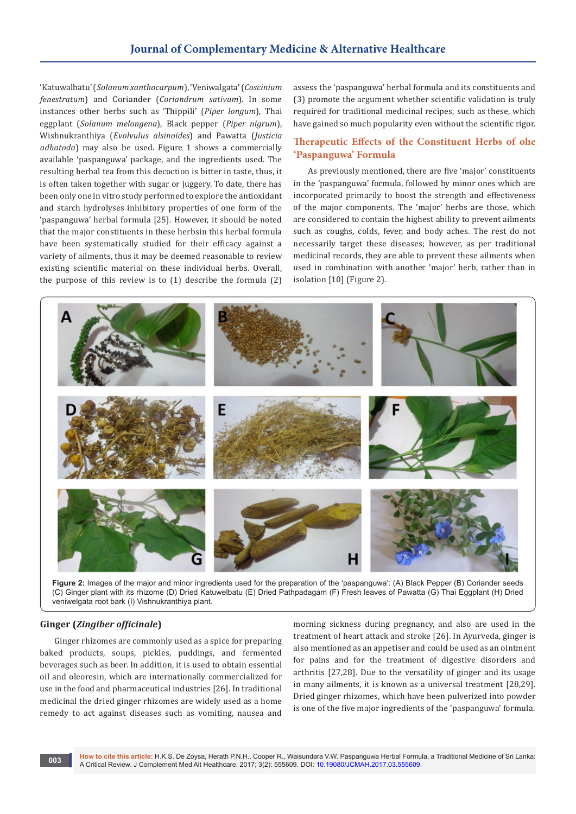'Katuwalbatu' (*Solanum xanthocarpum*), 'Veniwalgata' (*Coscinium fenestratum*) and Coriander (*Coriandrum sativum*). In some instances other herbs such as 'Thippili' (*Piper longum*), Thai eggplant (*Solanum melongena*), Black pepper (*Piper nigrum*), Wishnukranthiya (*Evolvulus alsinoides*) and Pawatta (*Justicia adhatoda*) may also be used. Figure 1 shows a commercially available 'paspanguwa' package, and the ingredients used. The resulting herbal tea from this decoction is bitter in taste, thus, it is often taken together with sugar or juggery. To date, there has been only one in vitro study performed to explore the antioxidant and starch hydrolyses inhibitory properties of one form of the 'paspanguwa' herbal formula [25]. However, it should be noted that the major constituents in these herbsin this herbal formula have been systematically studied for their efficacy against a variety of ailments, thus it may be deemed reasonable to review existing scientific material on these individual herbs. Overall, the purpose of this review is to (1) describe the formula (2)

assess the 'paspanguwa' herbal formula and its constituents and (3) promote the argument whether scientific validation is truly required for traditional medicinal recipes, such as these, which have gained so much popularity even without the scientific rigor.

## **Therapeutic Effects of the Constituent Herbs of ohe 'Paspanguwa' Formula**

As previously mentioned, there are five 'major' constituents in the 'paspanguwa' formula, followed by minor ones which are incorporated primarily to boost the strength and effectiveness of the major components. The 'major' herbs are those, which are considered to contain the highest ability to prevent ailments such as coughs, colds, fever, and body aches. The rest do not necessarily target these diseases; however, as per traditional medicinal records, they are able to prevent these ailments when used in combination with another 'major' herb, rather than in isolation [10] (Figure 2).



**Figure 2:** Images of the major and minor ingredients used for the preparation of the 'paspanguwa': (A) Black Pepper (B) Coriander seeds (C) Ginger plant with its rhizome (D) Dried Katuwelbatu (E) Dried Pathpadagam (F) Fresh leaves of Pawatta (G) Thai Eggplant (H) Dried veniwelgata root bark (I) Vishnukranthiya plant.

### **Ginger (***Zingiber officinale***)**

Ginger rhizomes are commonly used as a spice for preparing baked products, soups, pickles, puddings, and fermented beverages such as beer. In addition, it is used to obtain essential oil and oleoresin, which are internationally commercialized for use in the food and pharmaceutical industries [26]. In traditional medicinal the dried ginger rhizomes are widely used as a home remedy to act against diseases such as vomiting, nausea and

morning sickness during pregnancy, and also are used in the treatment of heart attack and stroke [26]. In Ayurveda, ginger is also mentioned as an appetiser and could be used as an ointment for pains and for the treatment of digestive disorders and arthritis [27,28]. Due to the versatility of ginger and its usage in many ailments, it is known as a universal treatment [28,29]. Dried ginger rhizomes, which have been pulverized into powder is one of the five major ingredients of the 'paspanguwa' formula.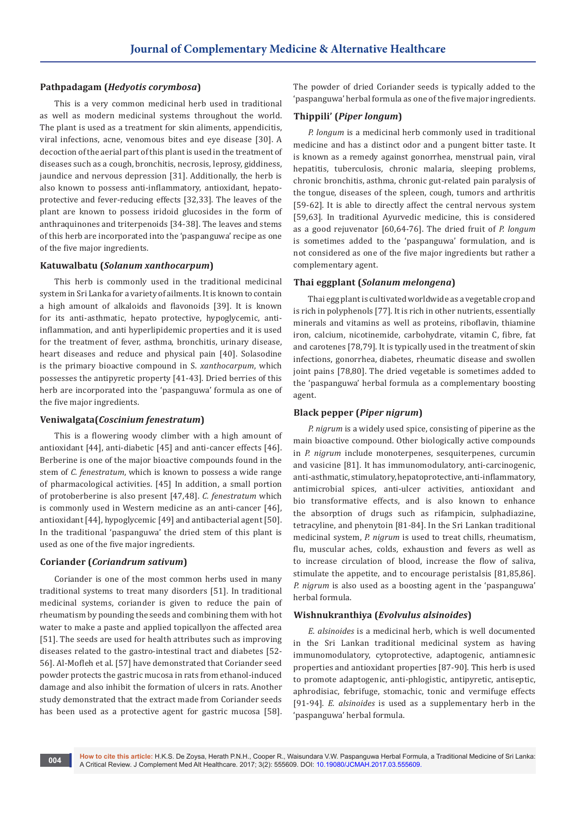## **Pathpadagam (***Hedyotis corymbosa***)**

This is a very common medicinal herb used in traditional as well as modern medicinal systems throughout the world. The plant is used as a treatment for skin aliments, appendicitis, viral infections, acne, venomous bites and eye disease [30]. A decoction of the aerial part of this plant is used in the treatment of diseases such as a cough, bronchitis, necrosis, leprosy, giddiness, jaundice and nervous depression [31]. Additionally, the herb is also known to possess anti-inflammatory, antioxidant, hepatoprotective and fever-reducing effects [32,33]. The leaves of the plant are known to possess iridoid glucosides in the form of anthraquinones and triterpenoids [34-38]. The leaves and stems of this herb are incorporated into the 'paspanguwa' recipe as one of the five major ingredients.

### **Katuwalbatu (***Solanum xanthocarpum***)**

This herb is commonly used in the traditional medicinal system in Sri Lanka for a variety of ailments. It is known to contain a high amount of alkaloids and flavonoids [39]. It is known for its anti-asthmatic, hepato protective, hypoglycemic, antiinflammation, and anti hyperlipidemic properties and it is used for the treatment of fever, asthma, bronchitis, urinary disease, heart diseases and reduce and physical pain [40]. Solasodine is the primary bioactive compound in S. *xanthocarpum*, which possesses the antipyretic property [41-43]. Dried berries of this herb are incorporated into the 'paspanguwa' formula as one of the five major ingredients.

### **Veniwalgata(***Coscinium fenestratum***)**

This is a flowering woody climber with a high amount of antioxidant [44], anti-diabetic [45] and anti-cancer effects [46]. Berberine is one of the major bioactive compounds found in the stem of *C. fenestratum*, which is known to possess a wide range of pharmacological activities. [45] In addition, a small portion of protoberberine is also present [47,48]. *C. fenestratum* which is commonly used in Western medicine as an anti-cancer [46], antioxidant [44], hypoglycemic [49] and antibacterial agent [50]. In the traditional 'paspanguwa' the dried stem of this plant is used as one of the five major ingredients.

#### **Coriander (***Coriandrum sativum***)**

Coriander is one of the most common herbs used in many traditional systems to treat many disorders [51]. In traditional medicinal systems, coriander is given to reduce the pain of rheumatism by pounding the seeds and combining them with hot water to make a paste and applied topicallyon the affected area [51]. The seeds are used for health attributes such as improving diseases related to the gastro-intestinal tract and diabetes [52- 56]. Al-Mofleh et al. [57] have demonstrated that Coriander seed powder protects the gastric mucosa in rats from ethanol-induced damage and also inhibit the formation of ulcers in rats. Another study demonstrated that the extract made from Coriander seeds has been used as a protective agent for gastric mucosa [58].

The powder of dried Coriander seeds is typically added to the 'paspanguwa' herbal formula as one of the five major ingredients.

## **Thippili' (***Piper longum***)**

*P. longum* is a medicinal herb commonly used in traditional medicine and has a distinct odor and a pungent bitter taste. It is known as a remedy against gonorrhea, menstrual pain, viral hepatitis, tuberculosis, chronic malaria, sleeping problems, chronic bronchitis, asthma, chronic gut-related pain paralysis of the tongue, diseases of the spleen, cough, tumors and arthritis [59-62]. It is able to directly affect the central nervous system [59,63]. In traditional Ayurvedic medicine, this is considered as a good rejuvenator [60,64-76]. The dried fruit of *P. longum* is sometimes added to the 'paspanguwa' formulation, and is not considered as one of the five major ingredients but rather a complementary agent.

#### **Thai eggplant (***Solanum melongena***)**

Thai egg plant is cultivated worldwide as a vegetable crop and is rich in polyphenols [77]. It is rich in other nutrients, essentially minerals and vitamins as well as proteins, riboflavin, thiamine iron, calcium, nicotinemide, carbohydrate, vitamin C, fibre, fat and carotenes [78,79]. It is typically used in the treatment of skin infections, gonorrhea, diabetes, rheumatic disease and swollen joint pains [78,80]. The dried vegetable is sometimes added to the 'paspanguwa' herbal formula as a complementary boosting agent.

## **Black pepper (***Piper nigrum***)**

*P. nigrum* is a widely used spice, consisting of piperine as the main bioactive compound. Other biologically active compounds in *P. nigrum* include monoterpenes, sesquiterpenes, curcumin and vasicine [81]. It has immunomodulatory, anti-carcinogenic, anti-asthmatic, stimulatory, hepatoprotective, anti-inflammatory, antimicrobial spices, anti-ulcer activities, antioxidant and bio transformative effects, and is also known to enhance the absorption of drugs such as rifampicin, sulphadiazine, tetracyline, and phenytoin [81-84]. In the Sri Lankan traditional medicinal system, *P. nigrum* is used to treat chills, rheumatism, flu, muscular aches, colds, exhaustion and fevers as well as to increase circulation of blood, increase the flow of saliva, stimulate the appetite, and to encourage peristalsis [81,85,86]. *P. nigrum* is also used as a boosting agent in the 'paspanguwa' herbal formula.

#### **Wishnukranthiya (***Evolvulus alsinoides***)**

*E. alsinoides* is a medicinal herb, which is well documented in the Sri Lankan traditional medicinal system as having immunomodulatory, cytoprotective, adaptogenic, antiamnesic properties and antioxidant properties [87-90]. This herb is used to promote adaptogenic, anti-phlogistic, antipyretic, antiseptic, aphrodisiac, febrifuge, stomachic, tonic and vermifuge effects [91-94]. *E. alsinoides* is used as a supplementary herb in the 'paspanguwa' herbal formula.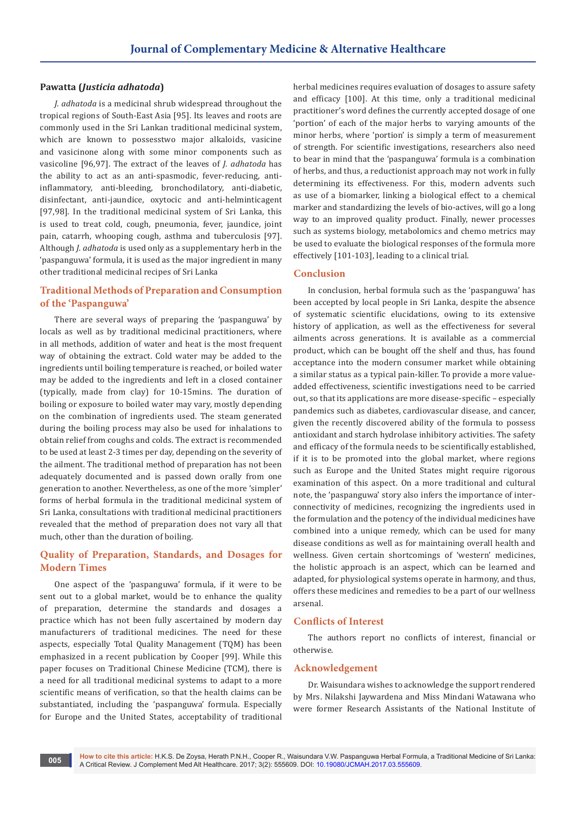## **Pawatta (***Justicia adhatoda***)**

*J. adhatoda* is a medicinal shrub widespread throughout the tropical regions of South-East Asia [95]. Its leaves and roots are commonly used in the Sri Lankan traditional medicinal system, which are known to possesstwo major alkaloids, vasicine and vasicinone along with some minor components such as vasicoline [96,97]. The extract of the leaves of *J. adhatoda* has the ability to act as an anti-spasmodic, fever-reducing, antiinflammatory, anti-bleeding, bronchodilatory, anti-diabetic, disinfectant, anti-jaundice, oxytocic and anti-helminticagent [97,98]. In the traditional medicinal system of Sri Lanka, this is used to treat cold, cough, pneumonia, fever, jaundice, joint pain, catarrh, whooping cough, asthma and tuberculosis [97]. Although *J. adhatoda* is used only as a supplementary herb in the 'paspanguwa' formula, it is used as the major ingredient in many other traditional medicinal recipes of Sri Lanka

## **Traditional Methods of Preparation and Consumption of the 'Paspanguwa'**

There are several ways of preparing the 'paspanguwa' by locals as well as by traditional medicinal practitioners, where in all methods, addition of water and heat is the most frequent way of obtaining the extract. Cold water may be added to the ingredients until boiling temperature is reached, or boiled water may be added to the ingredients and left in a closed container (typically, made from clay) for 10-15mins. The duration of boiling or exposure to boiled water may vary, mostly depending on the combination of ingredients used. The steam generated during the boiling process may also be used for inhalations to obtain relief from coughs and colds. The extract is recommended to be used at least 2-3 times per day, depending on the severity of the ailment. The traditional method of preparation has not been adequately documented and is passed down orally from one generation to another. Nevertheless, as one of the more 'simpler' forms of herbal formula in the traditional medicinal system of Sri Lanka, consultations with traditional medicinal practitioners revealed that the method of preparation does not vary all that much, other than the duration of boiling.

## **Quality of Preparation, Standards, and Dosages for Modern Times**

One aspect of the 'paspanguwa' formula, if it were to be sent out to a global market, would be to enhance the quality of preparation, determine the standards and dosages a practice which has not been fully ascertained by modern day manufacturers of traditional medicines. The need for these aspects, especially Total Quality Management (TQM) has been emphasized in a recent publication by Cooper [99]. While this paper focuses on Traditional Chinese Medicine (TCM), there is a need for all traditional medicinal systems to adapt to a more scientific means of verification, so that the health claims can be substantiated, including the 'paspanguwa' formula. Especially for Europe and the United States, acceptability of traditional

herbal medicines requires evaluation of dosages to assure safety and efficacy [100]. At this time, only a traditional medicinal practitioner's word defines the currently accepted dosage of one 'portion' of each of the major herbs to varying amounts of the minor herbs, where 'portion' is simply a term of measurement of strength. For scientific investigations, researchers also need to bear in mind that the 'paspanguwa' formula is a combination of herbs, and thus, a reductionist approach may not work in fully determining its effectiveness. For this, modern advents such as use of a biomarker, linking a biological effect to a chemical marker and standardizing the levels of bio-actives, will go a long way to an improved quality product. Finally, newer processes such as systems biology, metabolomics and chemo metrics may be used to evaluate the biological responses of the formula more effectively [101-103], leading to a clinical trial.

### **Conclusion**

In conclusion, herbal formula such as the 'paspanguwa' has been accepted by local people in Sri Lanka, despite the absence of systematic scientific elucidations, owing to its extensive history of application, as well as the effectiveness for several ailments across generations. It is available as a commercial product, which can be bought off the shelf and thus, has found acceptance into the modern consumer market while obtaining a similar status as a typical pain-killer. To provide a more valueadded effectiveness, scientific investigations need to be carried out, so that its applications are more disease-specific – especially pandemics such as diabetes, cardiovascular disease, and cancer, given the recently discovered ability of the formula to possess antioxidant and starch hydrolase inhibitory activities. The safety and efficacy of the formula needs to be scientifically established, if it is to be promoted into the global market, where regions such as Europe and the United States might require rigorous examination of this aspect. On a more traditional and cultural note, the 'paspanguwa' story also infers the importance of interconnectivity of medicines, recognizing the ingredients used in the formulation and the potency of the individual medicines have combined into a unique remedy, which can be used for many disease conditions as well as for maintaining overall health and wellness. Given certain shortcomings of 'western' medicines, the holistic approach is an aspect, which can be learned and adapted, for physiological systems operate in harmony, and thus, offers these medicines and remedies to be a part of our wellness arsenal.

### **Conflicts of Interest**

The authors report no conflicts of interest, financial or otherwise.

#### **Acknowledgement**

Dr. Waisundara wishes to acknowledge the support rendered by Mrs. Nilakshi Jaywardena and Miss Mindani Watawana who were former Research Assistants of the National Institute of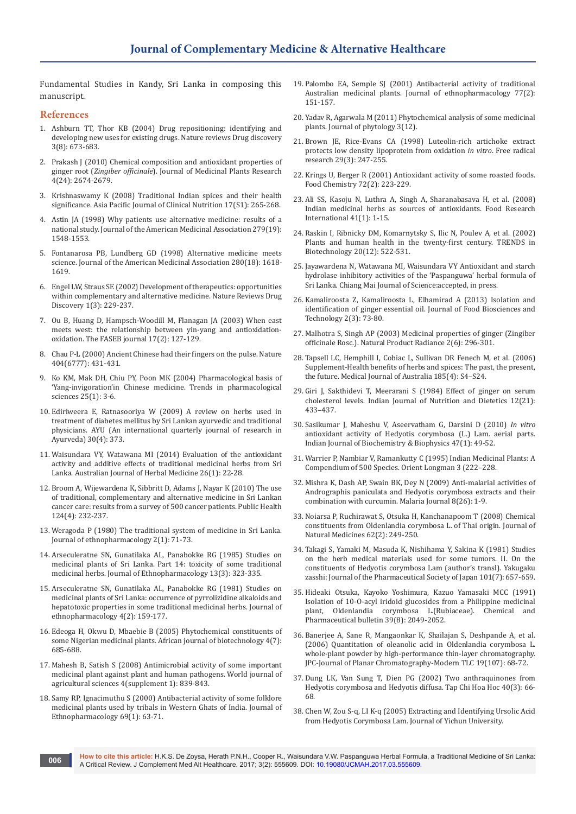Fundamental Studies in Kandy, Sri Lanka in composing this manuscript.

### **References**

- 1. [Ashburn TT, Thor KB \(2004\) Drug repositioning: identifying and](https://www.ncbi.nlm.nih.gov/pubmed/15286734)  [developing new uses for existing drugs. Nature reviews Drug discovery](https://www.ncbi.nlm.nih.gov/pubmed/15286734)  [3\(8\): 673-683.](https://www.ncbi.nlm.nih.gov/pubmed/15286734)
- 2. [Prakash J \(2010\) Chemical composition and antioxidant properties of](http://eprints.uni-mysore.ac.in/2438/)  ginger root (*Zingiber officinale*[\). Journal of Medicinal Plants Research](http://eprints.uni-mysore.ac.in/2438/)  [4\(24\): 2674-2679.](http://eprints.uni-mysore.ac.in/2438/)
- 3. [Krishnaswamy K \(2008\) Traditional Indian spices and their health](https://www.ncbi.nlm.nih.gov/pubmed/18296352)  [significance. Asia Pacific Journal of Clinical Nutrition 17\(S1\): 265-268.](https://www.ncbi.nlm.nih.gov/pubmed/18296352)
- 4. [Astin JA \(1998\) Why patients use alternative medicine: results of a](https://www.ncbi.nlm.nih.gov/pubmed/9605899)  [national study. Journal of the American Medicinal Association 279\(19\):](https://www.ncbi.nlm.nih.gov/pubmed/9605899)  [1548-1553.](https://www.ncbi.nlm.nih.gov/pubmed/9605899)
- 5. [Fontanarosa PB, Lundberg GD \(1998\) Alternative medicine meets](https://www.ncbi.nlm.nih.gov/pubmed/9820267)  [science. Journal of the American Medicinal Association 280\(18\): 1618-](https://www.ncbi.nlm.nih.gov/pubmed/9820267) [1619.](https://www.ncbi.nlm.nih.gov/pubmed/9820267)
- 6. [Engel LW, Straus SE \(2002\) Development of therapeutics: opportunities](https://www.ncbi.nlm.nih.gov/pubmed/12120507)  [within complementary and alternative medicine. Nature Reviews Drug](https://www.ncbi.nlm.nih.gov/pubmed/12120507)  [Discovery 1\(3\): 229-237.](https://www.ncbi.nlm.nih.gov/pubmed/12120507)
- 7. [Ou B, Huang D, Hampsch-Woodill M, Flanagan JA \(2003\) When east](https://www.ncbi.nlm.nih.gov/pubmed/12554690)  [meets west: the relationship between yin-yang and antioxidation](https://www.ncbi.nlm.nih.gov/pubmed/12554690)[oxidation. The FASEB journal 17\(2\): 127-129.](https://www.ncbi.nlm.nih.gov/pubmed/12554690)
- 8. [Chau P-L \(2000\) Ancient Chinese had their fingers on the pulse. Nature](http://www.nature.com/nature/journal/v404/n6777/full/404431b0.html?foxtrotcallback=true)  [404\(6777\): 431-431.](http://www.nature.com/nature/journal/v404/n6777/full/404431b0.html?foxtrotcallback=true)
- 9. [Ko KM, Mak DH, Chiu PY, Poon MK \(2004\) Pharmacological basis of](https://www.ncbi.nlm.nih.gov/pubmed/14723971)  ['Yang-invigoration'in Chinese medicine. Trends in pharmacological](https://www.ncbi.nlm.nih.gov/pubmed/14723971)  [sciences 25\(1\): 3-6.](https://www.ncbi.nlm.nih.gov/pubmed/14723971)
- 10. [Ediriweera E, Ratnasooriya W \(2009\) A review on herbs used in](http://www.ayujournal.org/article.asp?issn=0974-8520;year=2009;volume=30;issue=4;spage=373;epage=391;aulast=Ediriweera;type=0)  [treatment of diabetes mellitus by Sri Lankan ayurvedic and traditional](http://www.ayujournal.org/article.asp?issn=0974-8520;year=2009;volume=30;issue=4;spage=373;epage=391;aulast=Ediriweera;type=0)  [physicians. AYU \(An international quarterly journal of research in](http://www.ayujournal.org/article.asp?issn=0974-8520;year=2009;volume=30;issue=4;spage=373;epage=391;aulast=Ediriweera;type=0)  [Ayurveda\) 30\(4\): 373.](http://www.ayujournal.org/article.asp?issn=0974-8520;year=2009;volume=30;issue=4;spage=373;epage=391;aulast=Ediriweera;type=0)
- 11. [Waisundara VY, Watawana MI \(2014\) Evaluation of the antioxidant](http://search.informit.com.au/documentSummary;dn=138881351393230;res=IELHEA)  [activity and additive effects of traditional medicinal herbs from Sri](http://search.informit.com.au/documentSummary;dn=138881351393230;res=IELHEA)  [Lanka. Australian Journal of Herbal Medicine 26\(1\): 22-28.](http://search.informit.com.au/documentSummary;dn=138881351393230;res=IELHEA)
- 12. [Broom A, Wijewardena K, Sibbritt D, Adams J, Nayar K \(2010\) The use](https://www.ncbi.nlm.nih.gov/pubmed/20363486)  [of traditional, complementary and alternative medicine in Sri Lankan](https://www.ncbi.nlm.nih.gov/pubmed/20363486)  [cancer care: results from a survey of 500 cancer patients. Public Health](https://www.ncbi.nlm.nih.gov/pubmed/20363486)  [124\(4\): 232-237.](https://www.ncbi.nlm.nih.gov/pubmed/20363486)
- 13. [Weragoda P \(1980\) The traditional system of medicine in Sri Lanka.](https://www.ncbi.nlm.nih.gov/pubmed/7464187)  [Journal of ethnopharmacology 2\(1\): 71-73.](https://www.ncbi.nlm.nih.gov/pubmed/7464187)
- 14. [Arseculeratne SN, Gunatilaka AL, Panabokke RG \(1985\) Studies on](https://www.ncbi.nlm.nih.gov/pubmed/4058035)  [medicinal plants of Sri Lanka. Part 14: toxicity of some traditional](https://www.ncbi.nlm.nih.gov/pubmed/4058035)  [medicinal herbs. Journal of Ethnopharmacology 13\(3\): 323-335.](https://www.ncbi.nlm.nih.gov/pubmed/4058035)
- 15. [Arseculeratne SN, Gunatilaka AL, Panabokke RG \(1981\) Studies on](https://www.ncbi.nlm.nih.gov/pubmed/7311596)  [medicinal plants of Sri Lanka: occurrence of pyrrolizidine alkaloids and](https://www.ncbi.nlm.nih.gov/pubmed/7311596)  [hepatotoxic properties in some traditional medicinal herbs. Journal of](https://www.ncbi.nlm.nih.gov/pubmed/7311596)  [ethnopharmacology 4\(2\): 159-177.](https://www.ncbi.nlm.nih.gov/pubmed/7311596)
- 16. [Edeoga H, Okwu D, Mbaebie B \(2005\) Phytochemical constituents of](https://www.ajol.info/index.php/ajb/article/view/15167)  [some Nigerian medicinal plants. African journal of biotechnology 4\(7\):](https://www.ajol.info/index.php/ajb/article/view/15167)  [685-688.](https://www.ajol.info/index.php/ajb/article/view/15167)
- 17. [Mahesh B, Satish S \(2008\) Antimicrobial activity of some important](https://hero.epa.gov/hero/index.cfm/reference/details/reference_id/1227251)  [medicinal plant against plant and human pathogens. World journal of](https://hero.epa.gov/hero/index.cfm/reference/details/reference_id/1227251)  [agricultural sciences 4\(supplement 1\): 839-843.](https://hero.epa.gov/hero/index.cfm/reference/details/reference_id/1227251)
- 18. [Samy RP, Ignacimuthu S \(2000\) Antibacterial activity of some folklore](http://www.sciencedirect.com/science/article/pii/S0378874198001561)  [medicinal plants used by tribals in Western Ghats of India. Journal of](http://www.sciencedirect.com/science/article/pii/S0378874198001561)  [Ethnopharmacology 69\(1\): 63-71.](http://www.sciencedirect.com/science/article/pii/S0378874198001561)
- 19. [Palombo EA, Semple SJ \(2001\) Antibacterial activity of traditional](http://www.sciencedirect.com/science/article/pii/S0378874101002902)  [Australian medicinal plants. Journal of ethnopharmacology 77\(2\):](http://www.sciencedirect.com/science/article/pii/S0378874101002902)  [151-157.](http://www.sciencedirect.com/science/article/pii/S0378874101002902)
- 20. [Yadav R, Agarwala M \(2011\) Phytochemical analysis of some medicinal](https://scienceflora.org/journals/index.php/jp/article/view/2737)  [plants. Journal of phytology 3\(12\).](https://scienceflora.org/journals/index.php/jp/article/view/2737)
- 21. [Brown JE, Rice-Evans CA \(1998\) Luteolin-rich artichoke extract](https://www.ncbi.nlm.nih.gov/pubmed/9802556)  [protects low density lipoprotein from oxidation](https://www.ncbi.nlm.nih.gov/pubmed/9802556) *in vitro*. Free radical [research 29\(3\): 247-255.](https://www.ncbi.nlm.nih.gov/pubmed/9802556)
- 22. [Krings U, Berger R \(2001\) Antioxidant activity of some roasted foods.](http://www.sciencedirect.com/science/article/pii/S0308814600002260)  [Food Chemistry 72\(2\): 223-229.](http://www.sciencedirect.com/science/article/pii/S0308814600002260)
- 23. [Ali SS, Kasoju N, Luthra A, Singh A, Sharanabasava H, et al. \(2008\)](http://www.sciencedirect.com/science/article/pii/S0963996907001779)  [Indian medicinal herbs as sources of antioxidants. Food Research](http://www.sciencedirect.com/science/article/pii/S0963996907001779)  [International 41\(1\): 1-15.](http://www.sciencedirect.com/science/article/pii/S0963996907001779)
- 24. [Raskin I, Ribnicky DM, Komarnytsky S, Ilic N, Poulev A, et al. \(2002\)](https://www.ncbi.nlm.nih.gov/pubmed/12443874)  [Plants and human health in the twenty-first century. TRENDS in](https://www.ncbi.nlm.nih.gov/pubmed/12443874)  [Biotechnology 20\(12\): 522-531.](https://www.ncbi.nlm.nih.gov/pubmed/12443874)
- 25. [Jayawardena N, Watawana MI, Waisundara VY Antioxidant and starch](https://www.hindawi.com/journals/ecam/2015/764238/)  [hydrolase inhibitory activities of the 'Paspanguwa' herbal formula of](https://www.hindawi.com/journals/ecam/2015/764238/)  [Sri Lanka. Chiang Mai Journal of Science:accepted, in press.](https://www.hindawi.com/journals/ecam/2015/764238/)
- 26. [Kamaliroosta Z, Kamaliroosta L, Elhamirad A \(2013\) Isolation and](http://en.journals.sid.ir/ViewPaper.aspx?ID=327011)  [identification of ginger essential oil. Journal of Food Biosciences and](http://en.journals.sid.ir/ViewPaper.aspx?ID=327011)  [Technology 2\(3\): 73-80.](http://en.journals.sid.ir/ViewPaper.aspx?ID=327011)
- 27. Malhotra S, Singh AP (2003) Medicinal properties of ginger (Zingiber officinale Rosc.). Natural Product Radiance 2(6): 296-301.
- 28. [Tapsell LC, Hemphill I, Cobiac L, Sullivan DR Fenech M, et al. \(2006\)](https://www.ncbi.nlm.nih.gov/pubmed/17022438)  [Supplement-Health benefits of herbs and spices: The past, the present,](https://www.ncbi.nlm.nih.gov/pubmed/17022438)  [the future. Medical Journal of Australia 185\(4\): S4–S24.](https://www.ncbi.nlm.nih.gov/pubmed/17022438)
- 29. [Giri J, Sakthidevi T, Meerarani S \(1984\) Effect of ginger on serum](http://www.informaticsjournals.com/index.php/ijnd/article/view/11067)  [cholesterol levels. Indian Journal of Nutrition and Dietetics 12\(21\):](http://www.informaticsjournals.com/index.php/ijnd/article/view/11067)  [433–437.](http://www.informaticsjournals.com/index.php/ijnd/article/view/11067)
- 30. [Sasikumar J, Maheshu V, Aseervatham G, Darsini D \(2010\)](https://www.ncbi.nlm.nih.gov/pubmed/21086755) *In vitro* [antioxidant activity of Hedyotis corymbosa \(L.\) Lam. aerial parts.](https://www.ncbi.nlm.nih.gov/pubmed/21086755)  [Indian Journal of Biochemistry & Biophysics 47\(1\): 49-52.](https://www.ncbi.nlm.nih.gov/pubmed/21086755)
- 31. Warrier P, Nambiar V, Ramankutty C (1995) Indian Medicinal Plants: A Compendium of 500 Species. Orient Longman 3 (222–228.
- 32. [Mishra K, Dash AP, Swain BK, Dey N \(2009\) Anti-malarial activities of](https://www.ncbi.nlm.nih.gov/pmc/articles/PMC2650700/)  [Andrographis paniculata and Hedyotis corymbosa extracts and their](https://www.ncbi.nlm.nih.gov/pmc/articles/PMC2650700/)  [combination with curcumin. Malaria Journal 8\(26\): 1-9.](https://www.ncbi.nlm.nih.gov/pmc/articles/PMC2650700/)
- 33. [Noiarsa P, Ruchirawat S, Otsuka H, Kanchanapoom T \(2008\) Chemical](https://www.ncbi.nlm.nih.gov/pubmed/18404335)  [constituents from Oldenlandia corymbosa L. of Thai origin. Journal of](https://www.ncbi.nlm.nih.gov/pubmed/18404335)  [Natural Medicines 62\(2\): 249-250.](https://www.ncbi.nlm.nih.gov/pubmed/18404335)
- 34. [Takagi S, Yamaki M, Masuda K, Nishihama Y, Sakina K \(1981\) Studies](https://www.ncbi.nlm.nih.gov/pubmed/7320837)  [on the herb medical materials used for some tumors. II. On the](https://www.ncbi.nlm.nih.gov/pubmed/7320837)  [constituents of Hedyotis corymbosa Lam \(author's transl\). Yakugaku](https://www.ncbi.nlm.nih.gov/pubmed/7320837)  [zasshi: Journal of the Pharmaceutical Society of Japan 101\(7\): 657-659.](https://www.ncbi.nlm.nih.gov/pubmed/7320837)
- 35. [Hideaki Otsuka, Kayoko Yoshimura, Kazuo Yamasaki MCC \(1991\)](https://jstagebeta.jst.go.jp/article/cpb1958/39/8/39_8_2049/_article)  [Isolation of 10-O-acyl iridoid glucosides from a Philippine medicinal](https://jstagebeta.jst.go.jp/article/cpb1958/39/8/39_8_2049/_article)  [plant, Oldenlandia corymbosa L.\(Rubiaceae\). Chemical and](https://jstagebeta.jst.go.jp/article/cpb1958/39/8/39_8_2049/_article)  [Pharmaceutical bulletin 39\(8\): 2049-2052.](https://jstagebeta.jst.go.jp/article/cpb1958/39/8/39_8_2049/_article)
- 36. [Banerjee A, Sane R, Mangaonkar K, Shailajan S, Deshpande A, et al.](http://akademiai.com/doi/abs/10.1556/JPC.19.2006.1.12)  [\(2006\) Quantitation of oleanolic acid in Oldenlandia corymbosa L.](http://akademiai.com/doi/abs/10.1556/JPC.19.2006.1.12)  [whole-plant powder by high-performance thin-layer chromatography.](http://akademiai.com/doi/abs/10.1556/JPC.19.2006.1.12)  [JPC-Journal of Planar Chromatography-Modern TLC 19\(107\): 68-72.](http://akademiai.com/doi/abs/10.1556/JPC.19.2006.1.12)
- 37. Dung LK, Van Sung T, Dien PG (2002) Two anthraquinones from Hedyotis corymbosa and Hedyotis diffusa. Tap Chi Hoa Hoc 40(3): 66- 68.
- 38. Chen W, Zou S-q, LI K-q (2005) Extracting and Identifying Ursolic Acid from Hedyotis Corymbosa Lam. Journal of Yichun University.

**How to cite this article:** H.K.S. De Zoysa, Herath P.N.H., Cooper R., Waisundara V.W. Paspanguwa Herbal Formula, a Traditional Medicine of Sri Lanka: A Critical Review. J Complement Med Alt Healthcare. 2017; 3(2): 555609. DOI: [10.19080/JCMAH.2017.03.555609](http://dx.doi.org/10.19080/JCMAH.2017.03.555609
). **<sup>006</sup>**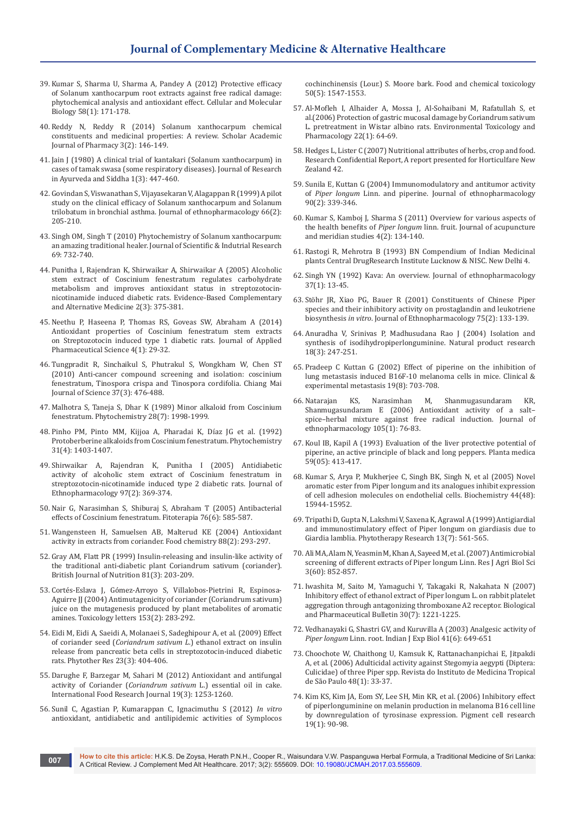- 39. [Kumar S, Sharma U, Sharma A, Pandey A \(2012\) Protective efficacy](https://www.ncbi.nlm.nih.gov/pubmed/23273209)  [of Solanum xanthocarpum root extracts against free radical damage:](https://www.ncbi.nlm.nih.gov/pubmed/23273209)  [phytochemical analysis and antioxidant effect. Cellular and Molecular](https://www.ncbi.nlm.nih.gov/pubmed/23273209)  [Biology 58\(1\): 171-178.](https://www.ncbi.nlm.nih.gov/pubmed/23273209)
- 40. Reddy N, Reddy R (2014) Solanum xanthocarpum chemical constituents and medicinal properties: A review. Scholar Academic Journal of Pharmacy 3(2): 146-149.
- 41. Jain J (1980) A clinical trial of kantakari (Solanum xanthocarpum) in cases of tamak swasa (some respiratory diseases). Journal of Research in Ayurveda and Siddha 1(3): 447-460.
- 42. [Govindan S, Viswanathan S, Vijayasekaran V, Alagappan R \(1999\) A pilot](https://www.ncbi.nlm.nih.gov/pubmed/10433479)  [study on the clinical efficacy of Solanum xanthocarpum and Solanum](https://www.ncbi.nlm.nih.gov/pubmed/10433479)  [trilobatum in bronchial asthma. Journal of ethnopharmacology 66\(2\):](https://www.ncbi.nlm.nih.gov/pubmed/10433479)  [205-210.](https://www.ncbi.nlm.nih.gov/pubmed/10433479)
- 43. Singh OM, Singh T (2010) Phytochemistry of Solanum xanthocarpum: an amazing traditional healer. Journal of Scientific & Indutrial Research 69: 732-740.
- 44. [Punitha I, Rajendran K, Shirwaikar A, Shirwaikar A \(2005\) Alcoholic](https://www.ncbi.nlm.nih.gov/pmc/articles/PMC1193540/)  [stem extract of Coscinium fenestratum regulates carbohydrate](https://www.ncbi.nlm.nih.gov/pmc/articles/PMC1193540/)  [metabolism and improves antioxidant status in streptozotocin](https://www.ncbi.nlm.nih.gov/pmc/articles/PMC1193540/)[nicotinamide induced diabetic rats. Evidence-Based Complementary](https://www.ncbi.nlm.nih.gov/pmc/articles/PMC1193540/)  [and Alternative Medicine 2\(3\): 375-381.](https://www.ncbi.nlm.nih.gov/pmc/articles/PMC1193540/)
- 45. [Neethu P, Haseena P, Thomas RS, Goveas SW, Abraham A \(2014\)](http://www.japsonline.com/abstract.php?article_id=1154)  [Antioxidant properties of Coscinium fenestratum stem extracts](http://www.japsonline.com/abstract.php?article_id=1154)  [on Streptozotocin induced type 1 diabetic rats. Journal of Applied](http://www.japsonline.com/abstract.php?article_id=1154)  [Pharmaceutical Science 4\(1\): 29-32.](http://www.japsonline.com/abstract.php?article_id=1154)
- 46. Tungpradit R, Sinchaikul S, Phutrakul S, Wongkham W, Chen ST (2010) Anti-cancer compound screening and isolation: coscinium fenestratum, Tinospora crispa and Tinospora cordifolia. Chiang Mai Journal of Science 37(3): 476-488.
- 47. [Malhotra S, Taneja S, Dhar K \(1989\) Minor alkaloid from Coscinium](http://www.sciencedirect.com/science/article/pii/S003194220097910X)  [fenestratum. Phytochemistry 28\(7\): 1998-1999.](http://www.sciencedirect.com/science/article/pii/S003194220097910X)
- 48. [Pinho PM, Pinto MM, Kijjoa A, Pharadai K, Díaz JG et al. \(1992\)](http://www.sciencedirect.com/science/article/pii/003194229280301T)  [Protoberberine alkaloids from Coscinium fenestratum. Phytochemistry](http://www.sciencedirect.com/science/article/pii/003194229280301T)  [31\(4\): 1403-1407.](http://www.sciencedirect.com/science/article/pii/003194229280301T)
- 49. [Shirwaikar A, Rajendran K, Punitha I \(2005\) Antidiabetic](http://www.sciencedirect.com/science/article/pii/S0378874104006130)  [activity of alcoholic stem extract of Coscinium fenestratum in](http://www.sciencedirect.com/science/article/pii/S0378874104006130)  [streptozotocin-nicotinamide induced type 2 diabetic rats. Journal of](http://www.sciencedirect.com/science/article/pii/S0378874104006130)  [Ethnopharmacology 97\(2\): 369-374.](http://www.sciencedirect.com/science/article/pii/S0378874104006130)
- 50. [Nair G, Narasimhan S, Shiburaj S, Abraham T \(2005\) Antibacterial](http://www.sciencedirect.com/science/article/pii/S0367326X05000961)  [effects of Coscinium fenestratum. Fitoterapia 76\(6\): 585-587.](http://www.sciencedirect.com/science/article/pii/S0367326X05000961)
- 51. [Wangensteen H, Samuelsen AB, Malterud KE \(2004\) Antioxidant](http://www.sciencedirect.com/science/article/pii/S0308814604001219)  [activity in extracts from coriander. Food chemistry 88\(2\): 293-297.](http://www.sciencedirect.com/science/article/pii/S0308814604001219)
- 52. [Gray AM, Flatt PR \(1999\) Insulin-releasing and insulin-like activity of](https://www.ncbi.nlm.nih.gov/pubmed/10434846)  [the traditional anti-diabetic plant Coriandrum sativum \(coriander\).](https://www.ncbi.nlm.nih.gov/pubmed/10434846)  [British Journal of Nutrition 81\(3\): 203-209.](https://www.ncbi.nlm.nih.gov/pubmed/10434846)
- 53. [Cortés-Eslava J, Gómez-Arroyo S, Villalobos-Pietrini R, Espinosa-](https://www.ncbi.nlm.nih.gov/pubmed/15451560)[Aguirre JJ \(2004\) Antimutagenicity of coriander \(Coriandrum sativum\)](https://www.ncbi.nlm.nih.gov/pubmed/15451560)  [juice on the mutagenesis produced by plant metabolites of aromatic](https://www.ncbi.nlm.nih.gov/pubmed/15451560)  [amines. Toxicology letters 153\(2\): 283-292.](https://www.ncbi.nlm.nih.gov/pubmed/15451560)
- 54. [Eidi M, Eidi A, Saeidi A, Molanaei S, Sadeghipour A, et al. \(2009\) Effect](https://www.ncbi.nlm.nih.gov/pubmed/19003941)  of coriander seed (*Coriandrum sativum L*[.\) ethanol extract on insulin](https://www.ncbi.nlm.nih.gov/pubmed/19003941)  [release from pancreatic beta cells in streptozotocin-induced diabetic](https://www.ncbi.nlm.nih.gov/pubmed/19003941)  [rats. Phytother Res 23\(3\): 404-406.](https://www.ncbi.nlm.nih.gov/pubmed/19003941)
- 55. Darughe F, Barzegar M, Sahari M (2012) Antioxidant and antifungal activity of Coriander (*Coriandrum sativum* L.) essential oil in cake. International Food Research Journal 19(3): 1253-1260.
- 56. [Sunil C, Agastian P, Kumarappan C, Ignacimuthu S \(2012\)](https://www.ncbi.nlm.nih.gov/pubmed/22306921) *In vitro* [antioxidant, antidiabetic and antilipidemic activities of Symplocos](https://www.ncbi.nlm.nih.gov/pubmed/22306921)

[cochinchinensis \(Lour.\) S. Moore bark. Food and chemical toxicology](https://www.ncbi.nlm.nih.gov/pubmed/22306921)  [50\(5\): 1547-1553.](https://www.ncbi.nlm.nih.gov/pubmed/22306921)

- 57. [Al-Mofleh I, Alhaider A, Mossa J, Al-Sohaibani M, Rafatullah S, et](https://www.ncbi.nlm.nih.gov/pubmed/21783688)  [al.\(2006\) Protection of gastric mucosal damage by Coriandrum sativum](https://www.ncbi.nlm.nih.gov/pubmed/21783688)  [L. pretreatment in Wistar albino rats. Environmental Toxicology and](https://www.ncbi.nlm.nih.gov/pubmed/21783688)  [Pharmacology 22\(1\): 64-69.](https://www.ncbi.nlm.nih.gov/pubmed/21783688)
- 58. [Hedges L, Lister C \(2007\) Nutritional attributes of herbs, crop and food.](https://www.researchgate.net/publication/268516178_Nutritional_attributes_of_herbs)  [Research Confidential Report, A report presented for Horticulfare New](https://www.researchgate.net/publication/268516178_Nutritional_attributes_of_herbs)  [Zealand 42.](https://www.researchgate.net/publication/268516178_Nutritional_attributes_of_herbs)
- 59. [Sunila E, Kuttan G \(2004\) Immunomodulatory and antitumor activity](https://www.ncbi.nlm.nih.gov/pubmed/15013199)  of *Piper longum* [Linn. and piperine. Journal of ethnopharmacology](https://www.ncbi.nlm.nih.gov/pubmed/15013199)  [90\(2\): 339-346.](https://www.ncbi.nlm.nih.gov/pubmed/15013199)
- 60. [Kumar S, Kamboj J, Sharma S \(2011\) Overview for various aspects of](https://www.ncbi.nlm.nih.gov/pubmed/21704957)  the health benefits of *Piper longum* [linn. fruit. Journal of acupuncture](https://www.ncbi.nlm.nih.gov/pubmed/21704957)  [and meridian studies 4\(2\): 134-140.](https://www.ncbi.nlm.nih.gov/pubmed/21704957)
- 61. Rastogi R, Mehrotra B (1993) BN Compendium of Indian Medicinal plants Central DrugResearch Institute Lucknow & NISC. New Delhi 4.
- 62. Singh [YN \(1992\) Kava: An overview. Journal of ethnopharmacology](https://www.ncbi.nlm.nih.gov/pubmed/1453702)  [37\(1\): 13-45.](https://www.ncbi.nlm.nih.gov/pubmed/1453702)
- 63. [Stöhr JR, Xiao PG, Bauer R \(2001\) Constituents of Chinese Piper](https://www.ncbi.nlm.nih.gov/pubmed/11297843)  [species and their inhibitory activity on prostaglandin and leukotriene](https://www.ncbi.nlm.nih.gov/pubmed/11297843)  biosynthesis *in vitro*[. Journal of Ethnopharmacology 75\(2\): 133-139.](https://www.ncbi.nlm.nih.gov/pubmed/11297843)
- 64. [Anuradha V, Srinivas P, Madhusudana Rao J \(2004\) Isolation and](https://www.ncbi.nlm.nih.gov/pubmed/15143835)  [synthesis of isodihydropiperlonguminine. Natural product research](https://www.ncbi.nlm.nih.gov/pubmed/15143835)  [18\(3\): 247-251.](https://www.ncbi.nlm.nih.gov/pubmed/15143835)
- 65. [Pradeep C Kuttan G \(2002\) Effect of piperine on the inhibition of](https://www.ncbi.nlm.nih.gov/pubmed/12553376)  [lung metastasis induced B16F-10 melanoma cells in mice. Clinical &](https://www.ncbi.nlm.nih.gov/pubmed/12553376)  [experimental metastasis 19\(8\): 703-708.](https://www.ncbi.nlm.nih.gov/pubmed/12553376)
- 66. [Natarajan KS, Narasimhan M, Shanmugasundaram KR,](https://www.ncbi.nlm.nih.gov/pubmed/16337350)  [Shanmugasundaram E \(2006\) Antioxidant activity of a salt–](https://www.ncbi.nlm.nih.gov/pubmed/16337350) [spice–herbal mixture against free radical induction. Journal of](https://www.ncbi.nlm.nih.gov/pubmed/16337350)  [ethnopharmacology 105\(1\): 76-83.](https://www.ncbi.nlm.nih.gov/pubmed/16337350)
- 67. [Koul IB, Kapil A \(1993\) Evaluation of the liver protective potential of](https://www.ncbi.nlm.nih.gov/pubmed/8255933)  [piperine, an active principle of black and long peppers. Planta medica](https://www.ncbi.nlm.nih.gov/pubmed/8255933)  [59\(05\): 413-417.](https://www.ncbi.nlm.nih.gov/pubmed/8255933)
- 68. [Kumar S, Arya P, Mukherjee C, Singh BK, Singh N, et al \(2005\) Novel](https://www.ncbi.nlm.nih.gov/pubmed/16313198)  [aromatic ester from Piper longum and its analogues inhibit expression](https://www.ncbi.nlm.nih.gov/pubmed/16313198)  [of cell adhesion molecules on endothelial cells. Biochemistry 44\(48\):](https://www.ncbi.nlm.nih.gov/pubmed/16313198)  [15944-15952.](https://www.ncbi.nlm.nih.gov/pubmed/16313198)
- 69. [Tripathi D, Gupta N, Lakshmi V, Saxena K, Agrawal A \(1999\) Antigiardial](https://www.ncbi.nlm.nih.gov/pubmed/10548746)  [and immunostimulatory effect of Piper longum on giardiasis due to](https://www.ncbi.nlm.nih.gov/pubmed/10548746)  [Giardia lamblia. Phytotherapy Research 13\(7\): 561-565.](https://www.ncbi.nlm.nih.gov/pubmed/10548746)
- 70. Ali MA, Alam N, Yeasmin M, Khan A, Sayeed M, et al. (2007) Antimicrobial screening of different extracts of Piper longum Linn. Res J Agri Biol Sci 3(60): 852-857.
- 71. [Iwashita M, Saito M, Yamaguchi Y, Takagaki R, Nakahata N \(2007\)](https://www.ncbi.nlm.nih.gov/pubmed/17603157)  [Inhibitory effect of ethanol extract of Piper longum L. on rabbit platelet](https://www.ncbi.nlm.nih.gov/pubmed/17603157)  [aggregation through antagonizing thromboxane A2 receptor. Biological](https://www.ncbi.nlm.nih.gov/pubmed/17603157)  [and Pharmaceutical Bulletin 30\(7\): 1221-1225.](https://www.ncbi.nlm.nih.gov/pubmed/17603157)
- 72. [Vedhanayaki G, Shastri GV, and Kuruvilla A \(2003\) Analgesic activity of](https://www.ncbi.nlm.nih.gov/pubmed/15266916)  *Piper longum* [Linn. root. Indian J Exp Biol 41\(6\): 649-651](https://www.ncbi.nlm.nih.gov/pubmed/15266916)
- 73. [Choochote W, Chaithong U, Kamsuk K, Rattanachanpichai E, Jitpakdi](https://www.ncbi.nlm.nih.gov/pubmed/16547577)  [A, et al. \(2006\) Adulticidal activity against Stegomyia aegypti \(Diptera:](https://www.ncbi.nlm.nih.gov/pubmed/16547577)  [Culicidae\) of three Piper spp. Revista do Instituto de Medicina Tropical](https://www.ncbi.nlm.nih.gov/pubmed/16547577)  [de São Paulo 48\(1\): 33-37.](https://www.ncbi.nlm.nih.gov/pubmed/16547577)
- 74. [Kim KS, Kim JA, Eom SY, Lee SH, Min KR, et al. \(2006\) Inhibitory effect](https://www.ncbi.nlm.nih.gov/pubmed/16420250)  [of piperlonguminine on melanin production in melanoma B16 cell line](https://www.ncbi.nlm.nih.gov/pubmed/16420250)  [by downregulation of tyrosinase expression. Pigment cell research](https://www.ncbi.nlm.nih.gov/pubmed/16420250)  [19\(1\): 90-98.](https://www.ncbi.nlm.nih.gov/pubmed/16420250)